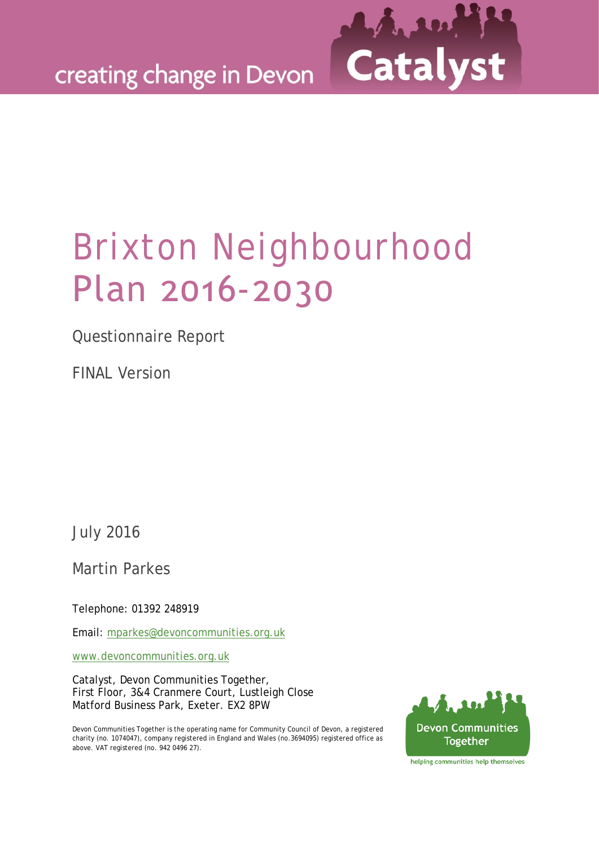

# Brixton Neighbourhood Plan 2016-2030

Questionnaire Report

FINAL Version

July 2016

Martin Parkes

Telephone: 01392 248919

Email: [mparkes@devoncommunities.org.uk](mailto:mparkes@devoncommunities.org.uk)

[www.devoncommunities.org.uk](http://www.devoncommunities.org.uk/)

Catalyst, Devon Communities Together, First Floor, 3&4 Cranmere Court, Lustleigh Close Matford Business Park, Exeter. EX2 8PW

Devon Communities Together is the operating name for Community Council of Devon, a registered charity (no. 1074047), company registered in England and Wales (no.3694095) registered office as above. VAT registered (no. 942 0496 27).



helping communities help themselves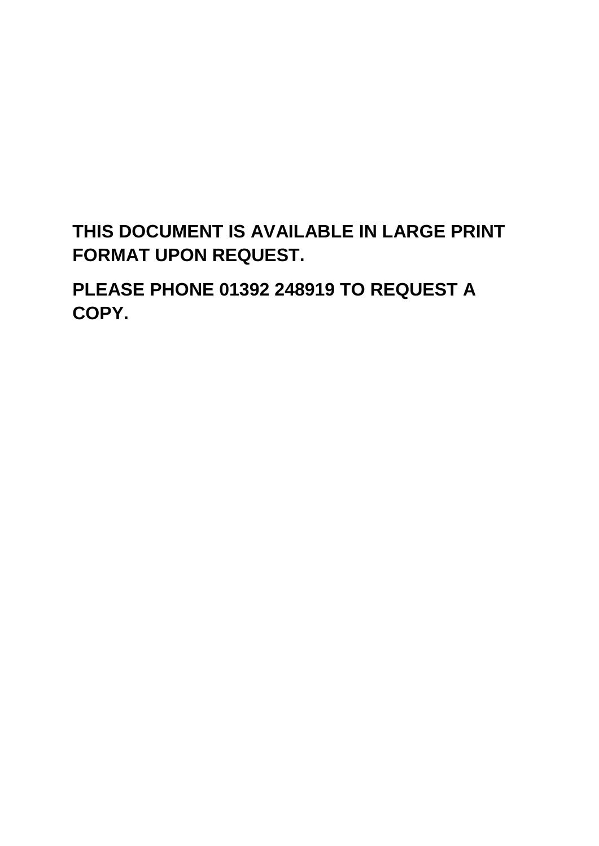# **THIS DOCUMENT IS AVAILABLE IN LARGE PRINT FORMAT UPON REQUEST.**

**PLEASE PHONE 01392 248919 TO REQUEST A COPY.**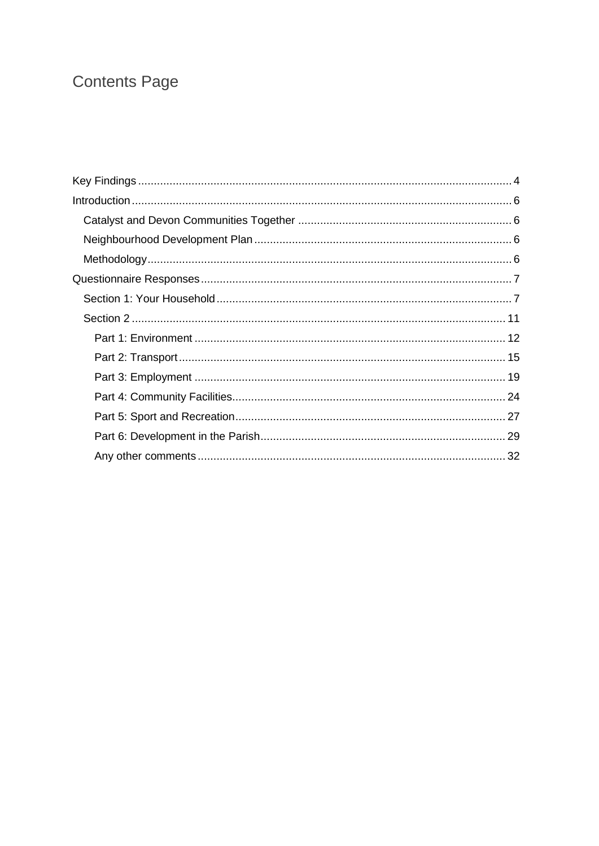# **Contents Page**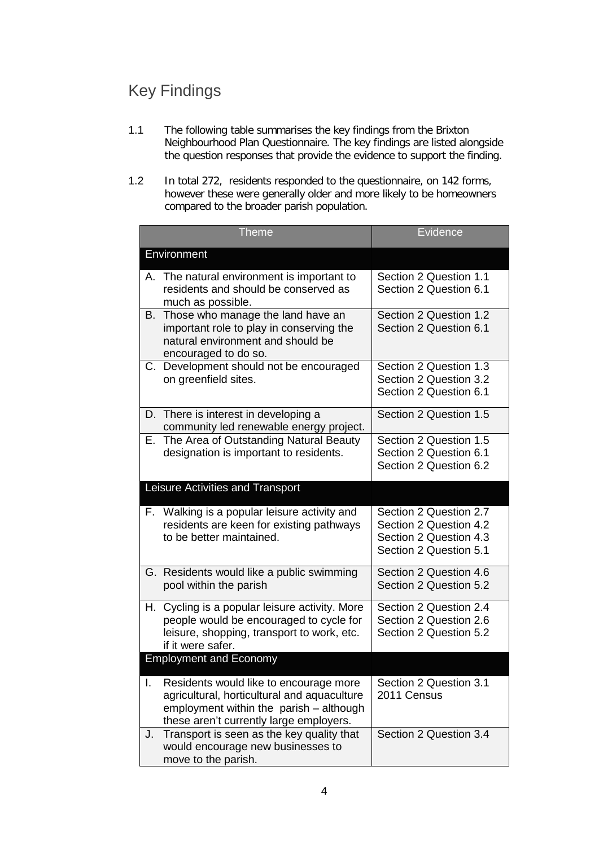# <span id="page-3-0"></span>Key Findings

- 1.1 The following table summarises the key findings from the Brixton Neighbourhood Plan Questionnaire. The key findings are listed alongside the question responses that provide the evidence to support the finding.
- 1.2 In total 272, residents responded to the questionnaire, on 142 forms, however these were generally older and more likely to be homeowners compared to the broader parish population.

|    | <b>Theme</b>                                                                                                                                                                | Evidence                                                                                             |
|----|-----------------------------------------------------------------------------------------------------------------------------------------------------------------------------|------------------------------------------------------------------------------------------------------|
|    | Environment                                                                                                                                                                 |                                                                                                      |
|    | A. The natural environment is important to<br>residents and should be conserved as<br>much as possible.                                                                     | Section 2 Question 1.1<br>Section 2 Question 6.1                                                     |
| В. | Those who manage the land have an<br>important role to play in conserving the<br>natural environment and should be<br>encouraged to do so.                                  | Section 2 Question 1.2<br>Section 2 Question 6.1                                                     |
|    | C. Development should not be encouraged<br>on greenfield sites.                                                                                                             | Section 2 Question 1.3<br>Section 2 Question 3.2<br>Section 2 Question 6.1                           |
|    | D. There is interest in developing a<br>community led renewable energy project.                                                                                             | Section 2 Question 1.5                                                                               |
| Е. | The Area of Outstanding Natural Beauty<br>designation is important to residents.                                                                                            | Section 2 Question 1.5<br>Section 2 Question 6.1<br>Section 2 Question 6.2                           |
|    | Leisure Activities and Transport                                                                                                                                            |                                                                                                      |
|    | F. Walking is a popular leisure activity and<br>residents are keen for existing pathways<br>to be better maintained.                                                        | Section 2 Question 2.7<br>Section 2 Question 4.2<br>Section 2 Question 4.3<br>Section 2 Question 5.1 |
|    | G. Residents would like a public swimming<br>pool within the parish                                                                                                         | Section 2 Question 4.6<br>Section 2 Question 5.2                                                     |
|    | H. Cycling is a popular leisure activity. More<br>people would be encouraged to cycle for<br>leisure, shopping, transport to work, etc.<br>if it were safer.                | Section 2 Question 2.4<br>Section 2 Question 2.6<br>Section 2 Question 5.2                           |
|    | <b>Employment and Economy</b>                                                                                                                                               |                                                                                                      |
| I. | Residents would like to encourage more<br>agricultural, horticultural and aquaculture<br>employment within the parish - although<br>these aren't currently large employers. | Section 2 Question 3.1<br>2011 Census                                                                |
| J. | Transport is seen as the key quality that<br>would encourage new businesses to<br>move to the parish.                                                                       | Section 2 Question 3.4                                                                               |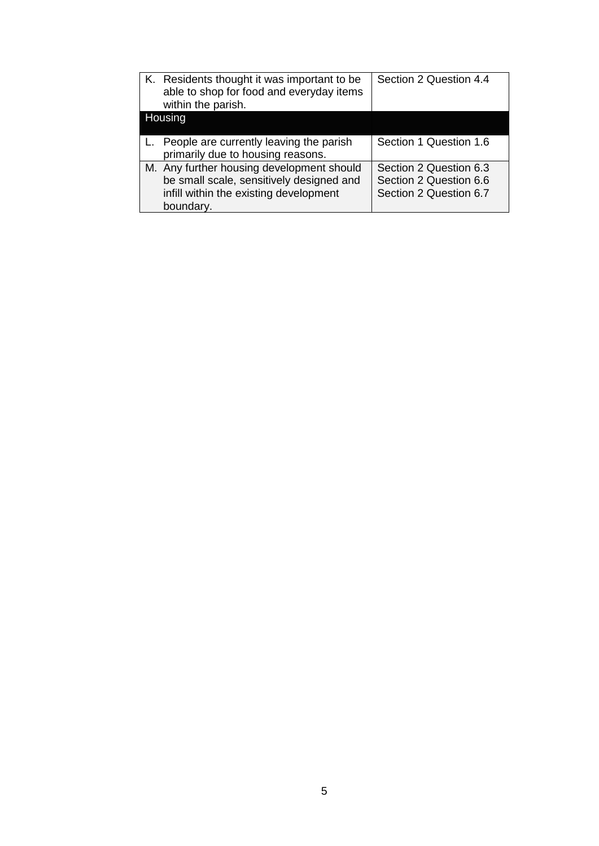| K. Residents thought it was important to be<br>able to shop for food and everyday items<br>within the parish. | Section 2 Question 4.4 |
|---------------------------------------------------------------------------------------------------------------|------------------------|
| Housing                                                                                                       |                        |
|                                                                                                               |                        |
| L. People are currently leaving the parish                                                                    | Section 1 Question 1.6 |
| primarily due to housing reasons.                                                                             |                        |
| M. Any further housing development should                                                                     | Section 2 Question 6.3 |
| be small scale, sensitively designed and                                                                      | Section 2 Question 6.6 |
| infill within the existing development                                                                        | Section 2 Question 6.7 |
| boundary.                                                                                                     |                        |
|                                                                                                               |                        |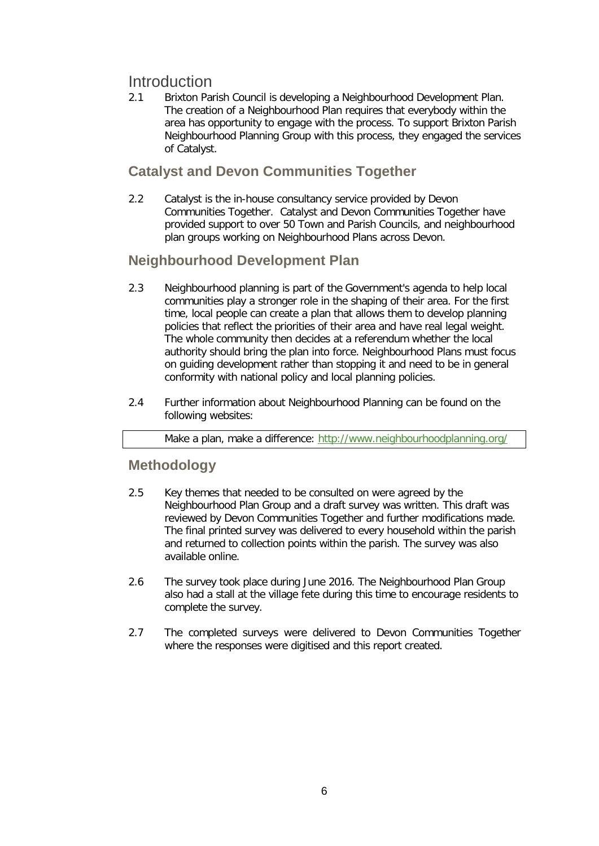# <span id="page-5-0"></span>**Introduction**

2.1 Brixton Parish Council is developing a Neighbourhood Development Plan. The creation of a Neighbourhood Plan requires that everybody within the area has opportunity to engage with the process. To support Brixton Parish Neighbourhood Planning Group with this process, they engaged the services of Catalyst.

# <span id="page-5-1"></span>**Catalyst and Devon Communities Together**

2.2 Catalyst is the in-house consultancy service provided by Devon Communities Together. Catalyst and Devon Communities Together have provided support to over 50 Town and Parish Councils, and neighbourhood plan groups working on Neighbourhood Plans across Devon.

# <span id="page-5-2"></span>**Neighbourhood Development Plan**

- 2.3 Neighbourhood planning is part of the Government's agenda to help local communities play a stronger role in the shaping of their area. For the first time, local people can create a plan that allows them to develop planning policies that reflect the priorities of their area and have real legal weight. The whole community then decides at a referendum whether the local authority should bring the plan into force. Neighbourhood Plans must focus on guiding development rather than stopping it and need to be in general conformity with national policy and local planning policies.
- 2.4 Further information about Neighbourhood Planning can be found on the following websites:

Make a plan, make a difference:<http://www.neighbourhoodplanning.org/>

## <span id="page-5-3"></span>**Methodology**

- 2.5 Key themes that needed to be consulted on were agreed by the Neighbourhood Plan Group and a draft survey was written. This draft was reviewed by Devon Communities Together and further modifications made. The final printed survey was delivered to every household within the parish and returned to collection points within the parish. The survey was also available online.
- 2.6 The survey took place during June 2016. The Neighbourhood Plan Group also had a stall at the village fete during this time to encourage residents to complete the survey.
- 2.7 The completed surveys were delivered to Devon Communities Together where the responses were digitised and this report created.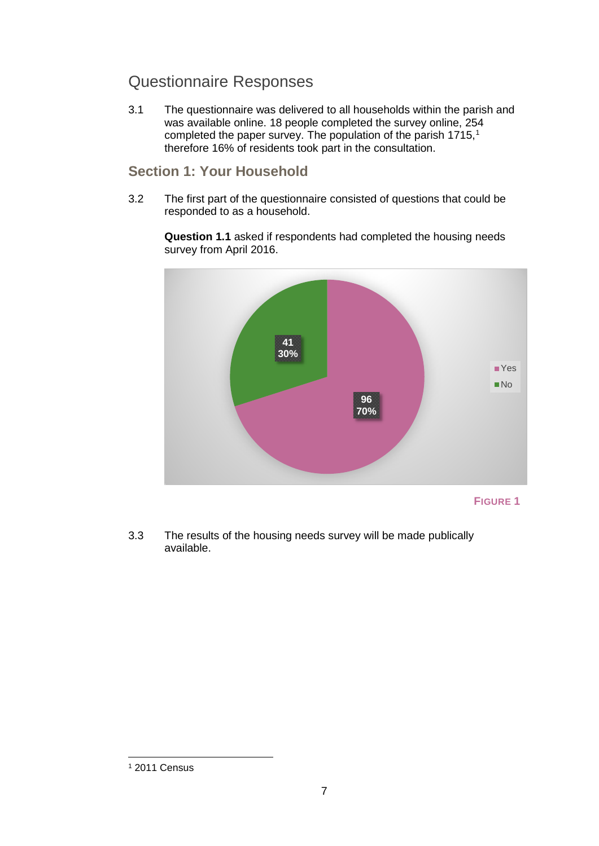# <span id="page-6-0"></span>Questionnaire Responses

3.1 The questionnaire was delivered to all households within the parish and was available online. 18 people completed the survey online, 254 completed the paper survey. The population of the parish [1](#page-6-2)715,<sup>1</sup> therefore 16% of residents took part in the consultation.

### <span id="page-6-1"></span>**Section 1: Your Household**

3.2 The first part of the questionnaire consisted of questions that could be responded to as a household.

**Question 1.1** asked if respondents had completed the housing needs survey from April 2016.



**FIGURE 1**

3.3 The results of the housing needs survey will be made publically available.

<span id="page-6-2"></span><sup>1</sup> 2011 Census -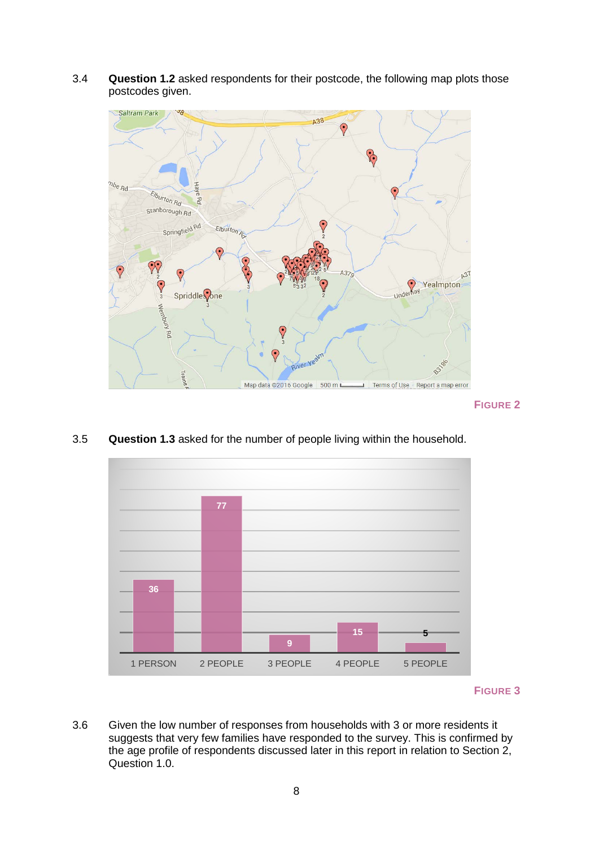3.4 **Question 1.2** asked respondents for their postcode, the following map plots those postcodes given.



**FIGURE 2**

- **36 77 9 15 5** 1 PERSON 2 PEOPLE 3 PEOPLE 4 PEOPLE 5 PEOPLE
- 3.5 **Question 1.3** asked for the number of people living within the household.

3.6 Given the low number of responses from households with 3 or more residents it suggests that very few families have responded to the survey. This is confirmed by the age profile of respondents discussed later in this report in relation to Section 2, Question 1.0.

**FIGURE 3**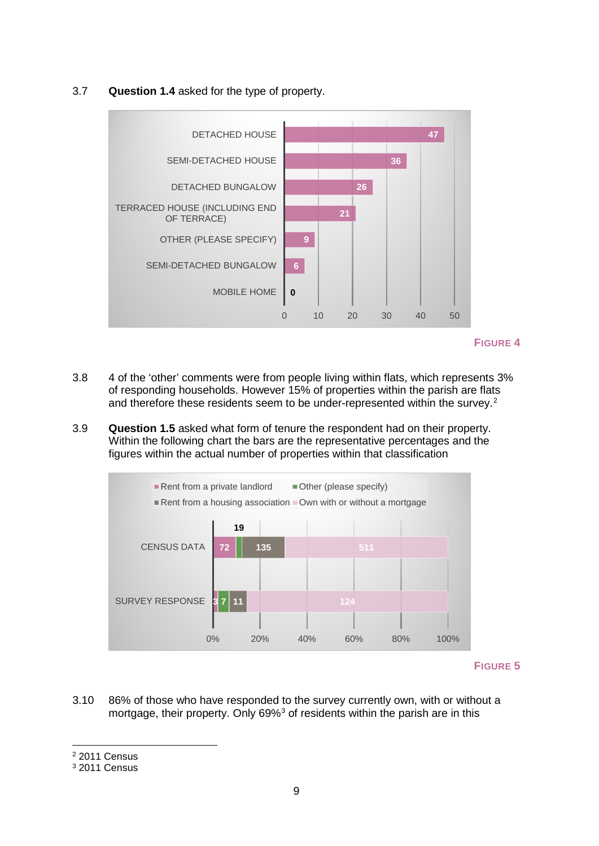#### 3.7 **Question 1.4** asked for the type of property.



#### **FIGURE 4**

- 3.8 4 of the 'other' comments were from people living within flats, which represents 3% of responding households. However 15% of properties within the parish are flats and therefore these residents seem to be under-represented within the survey.<sup>[2](#page-8-0)</sup>
- 3.9 **Question 1.5** asked what form of tenure the respondent had on their property. Within the following chart the bars are the representative percentages and the figures within the actual number of properties within that classification



#### **FIGURE 5**

3.10 86% of those who have responded to the survey currently own, with or without a mortgage, their property. Only 69%<sup>[3](#page-8-1)</sup> of residents within the parish are in this

-

<span id="page-8-0"></span><sup>2</sup> 2011 Census

<span id="page-8-1"></span><sup>3</sup> 2011 Census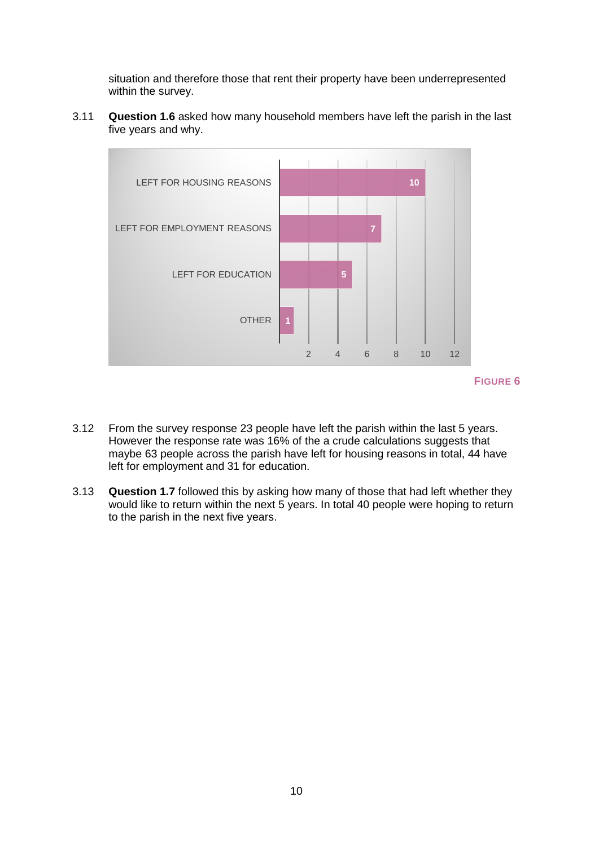situation and therefore those that rent their property have been underrepresented within the survey.

3.11 **Question 1.6** asked how many household members have left the parish in the last five years and why.



- 3.12 From the survey response 23 people have left the parish within the last 5 years. However the response rate was 16% of the a crude calculations suggests that maybe 63 people across the parish have left for housing reasons in total, 44 have left for employment and 31 for education.
- <span id="page-9-0"></span>3.13 **Question 1.7** followed this by asking how many of those that had left whether they would like to return within the next 5 years. In total 40 people were hoping to return to the parish in the next five years.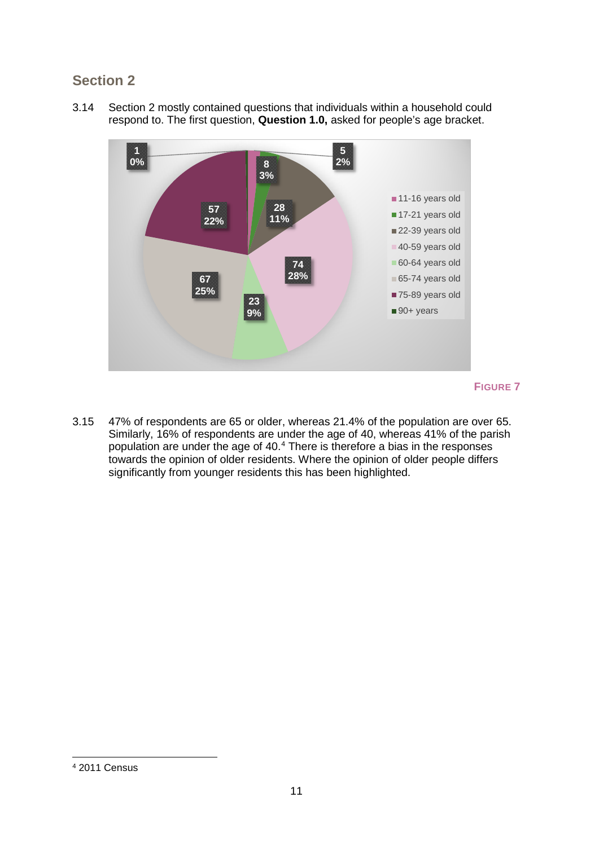# **Section 2**

3.14 Section 2 mostly contained questions that individuals within a household could respond to. The first question, **Question 1.0,** asked for people's age bracket.



#### **FIGURE 7**

<span id="page-10-0"></span>3.15 47% of respondents are 65 or older, whereas 21.4% of the population are over 65. Similarly, 16% of respondents are under the age of 40, whereas 41% of the parish population are under the age of 40.[4](#page-10-1) There is therefore a bias in the responses towards the opinion of older residents. Where the opinion of older people differs significantly from younger residents this has been highlighted.

<span id="page-10-1"></span><sup>4</sup> 2011 Census -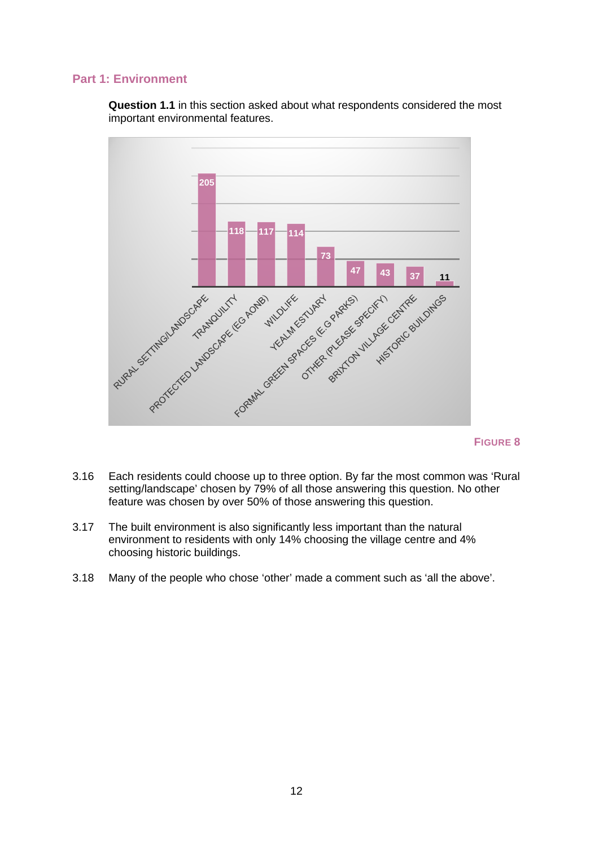#### **Part 1: Environment**

**Question 1.1** in this section asked about what respondents considered the most important environmental features.



- 3.16 Each residents could choose up to three option. By far the most common was 'Rural setting/landscape' chosen by 79% of all those answering this question. No other feature was chosen by over 50% of those answering this question.
- 3.17 The built environment is also significantly less important than the natural environment to residents with only 14% choosing the village centre and 4% choosing historic buildings.
- 3.18 Many of the people who chose 'other' made a comment such as 'all the above'.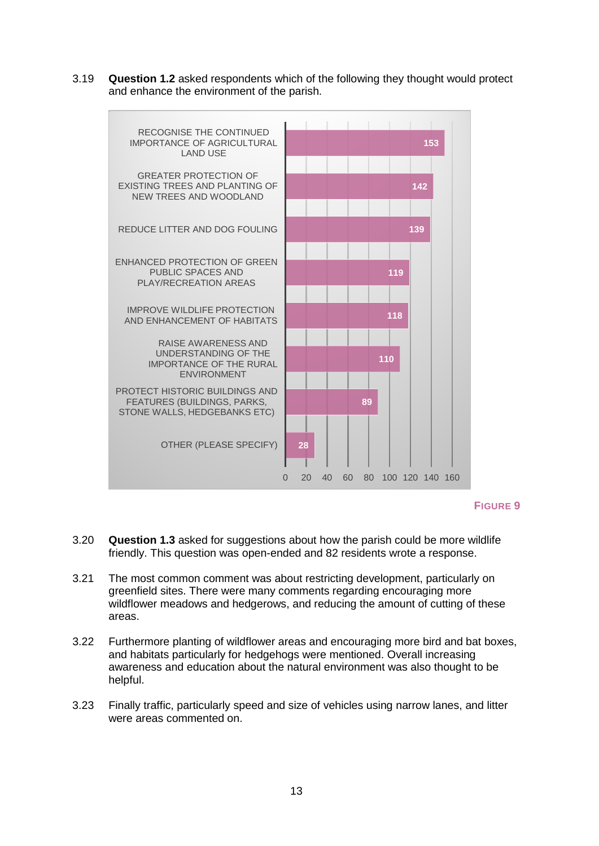3.19 **Question 1.2** asked respondents which of the following they thought would protect and enhance the environment of the parish.



**FIGURE 9**

- 3.20 **Question 1.3** asked for suggestions about how the parish could be more wildlife friendly. This question was open-ended and 82 residents wrote a response.
- 3.21 The most common comment was about restricting development, particularly on greenfield sites. There were many comments regarding encouraging more wildflower meadows and hedgerows, and reducing the amount of cutting of these areas.
- 3.22 Furthermore planting of wildflower areas and encouraging more bird and bat boxes, and habitats particularly for hedgehogs were mentioned. Overall increasing awareness and education about the natural environment was also thought to be helpful.
- 3.23 Finally traffic, particularly speed and size of vehicles using narrow lanes, and litter were areas commented on.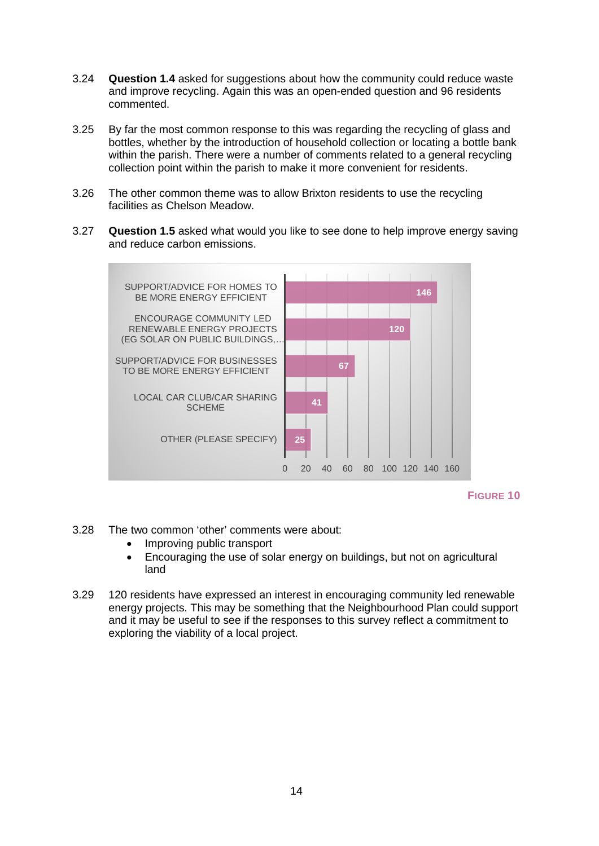- 3.24 **Question 1.4** asked for suggestions about how the community could reduce waste and improve recycling. Again this was an open-ended question and 96 residents commented.
- 3.25 By far the most common response to this was regarding the recycling of glass and bottles, whether by the introduction of household collection or locating a bottle bank within the parish. There were a number of comments related to a general recycling collection point within the parish to make it more convenient for residents.
- 3.26 The other common theme was to allow Brixton residents to use the recycling facilities as Chelson Meadow.
- 3.27 **Question 1.5** asked what would you like to see done to help improve energy saving and reduce carbon emissions.



**FIGURE 10**

- 3.28 The two common 'other' comments were about:
	- Improving public transport
	- Encouraging the use of solar energy on buildings, but not on agricultural land
- <span id="page-13-0"></span>3.29 120 residents have expressed an interest in encouraging community led renewable energy projects. This may be something that the Neighbourhood Plan could support and it may be useful to see if the responses to this survey reflect a commitment to exploring the viability of a local project.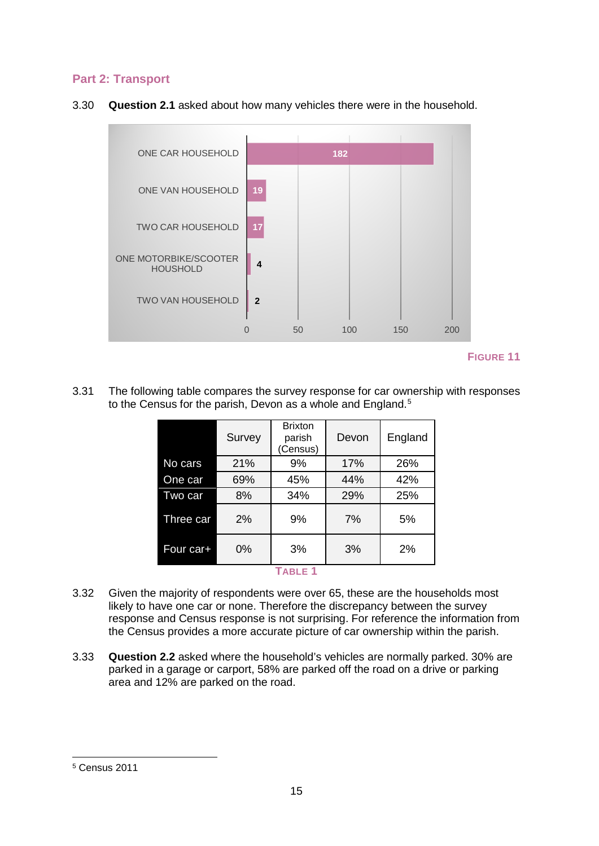#### **Part 2: Transport**





**FIGURE 11**

3.31 The following table compares the survey response for car ownership with responses to the Census for the parish. Devon as a whole and England.<sup>[5](#page-14-0)</sup>

|              | Survey | <b>Brixton</b><br>parish<br>(Census) | Devon | England |
|--------------|--------|--------------------------------------|-------|---------|
| No cars      | 21%    | 9%                                   | 17%   | 26%     |
| One car      | 69%    | 45%                                  | 44%   | 42%     |
| Two car      | 8%     | 34%                                  | 29%   | 25%     |
| Three car    | 2%     | 9%                                   | 7%    | 5%      |
| Four car+    | 0%     | 3%                                   | 3%    | 2%      |
| <b>TABLE</b> |        |                                      |       |         |

- 3.32 Given the majority of respondents were over 65, these are the households most likely to have one car or none. Therefore the discrepancy between the survey response and Census response is not surprising. For reference the information from the Census provides a more accurate picture of car ownership within the parish.
- 3.33 **Question 2.2** asked where the household's vehicles are normally parked. 30% are parked in a garage or carport, 58% are parked off the road on a drive or parking area and 12% are parked on the road.

<span id="page-14-0"></span><sup>5</sup> Census 2011 -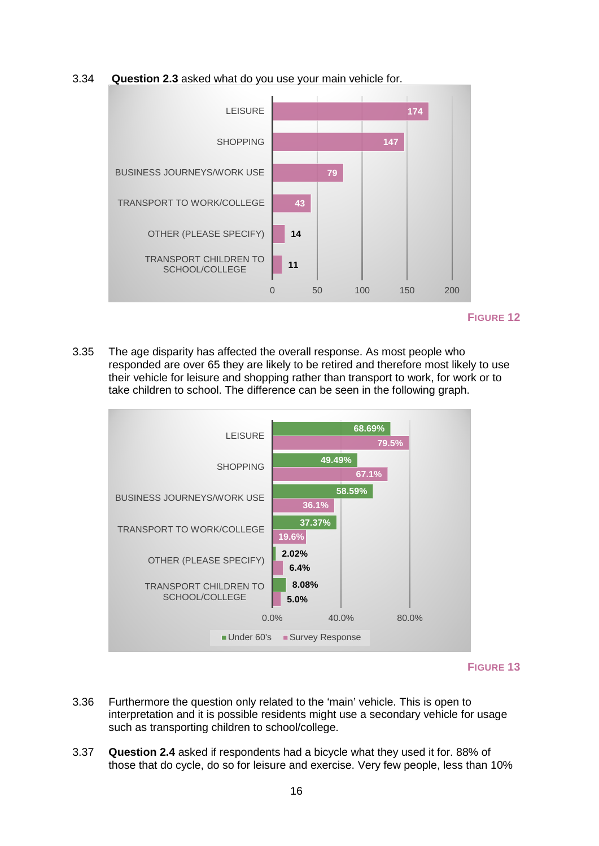#### 3.34 **Question 2.3** asked what do you use your main vehicle for.



**FIGURE 12**

3.35 The age disparity has affected the overall response. As most people who responded are over 65 they are likely to be retired and therefore most likely to use their vehicle for leisure and shopping rather than transport to work, for work or to take children to school. The difference can be seen in the following graph.



- 3.36 Furthermore the question only related to the 'main' vehicle. This is open to interpretation and it is possible residents might use a secondary vehicle for usage such as transporting children to school/college.
- 3.37 **Question 2.4** asked if respondents had a bicycle what they used it for. 88% of those that do cycle, do so for leisure and exercise. Very few people, less than 10%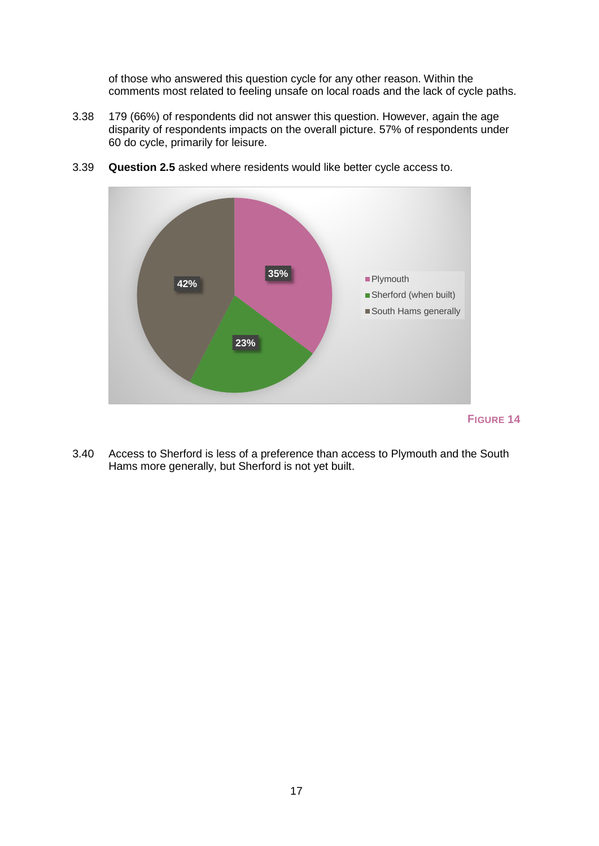of those who answered this question cycle for any other reason. Within the comments most related to feeling unsafe on local roads and the lack of cycle paths.

3.38 179 (66%) of respondents did not answer this question. However, again the age disparity of respondents impacts on the overall picture. 57% of respondents under 60 do cycle, primarily for leisure.



3.39 **Question 2.5** asked where residents would like better cycle access to.

- **FIGURE 14**
- 3.40 Access to Sherford is less of a preference than access to Plymouth and the South Hams more generally, but Sherford is not yet built.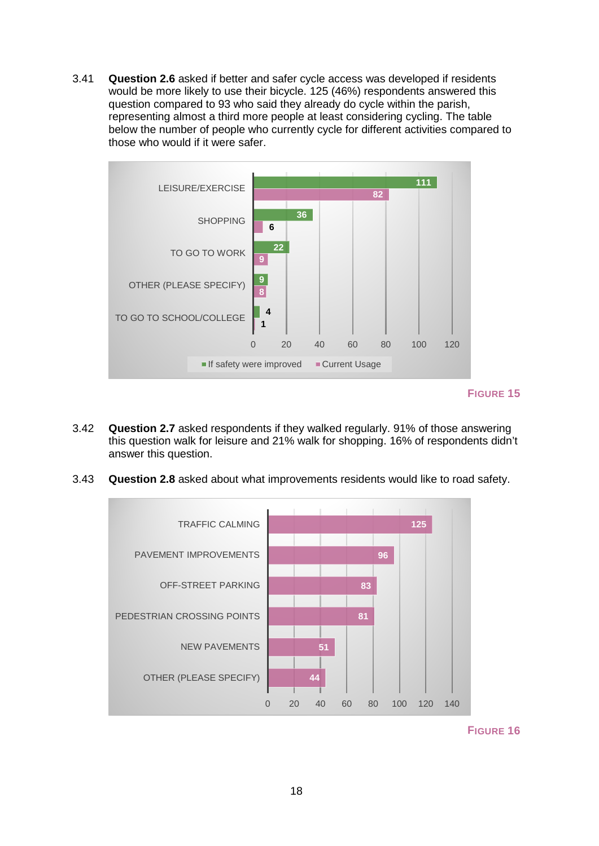3.41 **Question 2.6** asked if better and safer cycle access was developed if residents would be more likely to use their bicycle. 125 (46%) respondents answered this question compared to 93 who said they already do cycle within the parish, representing almost a third more people at least considering cycling. The table below the number of people who currently cycle for different activities compared to those who would if it were safer.



**FIGURE 15**

- 3.42 **Question 2.7** asked respondents if they walked regularly. 91% of those answering this question walk for leisure and 21% walk for shopping. 16% of respondents didn't answer this question.
- 3.43 **Question 2.8** asked about what improvements residents would like to road safety.



**FIGURE 16**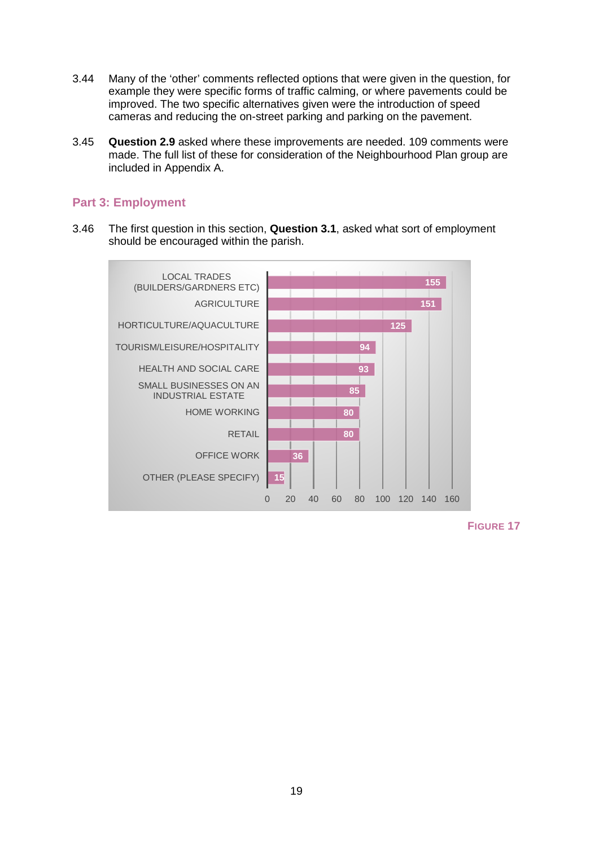- 3.44 Many of the 'other' comments reflected options that were given in the question, for example they were specific forms of traffic calming, or where pavements could be improved. The two specific alternatives given were the introduction of speed cameras and reducing the on-street parking and parking on the pavement.
- 3.45 **Question 2.9** asked where these improvements are needed. 109 comments were made. The full list of these for consideration of the Neighbourhood Plan group are included in Appendix A.

#### <span id="page-18-0"></span>**Part 3: Employment**

3.46 The first question in this section, **Question 3.1**, asked what sort of employment should be encouraged within the parish.



**FIGURE 17**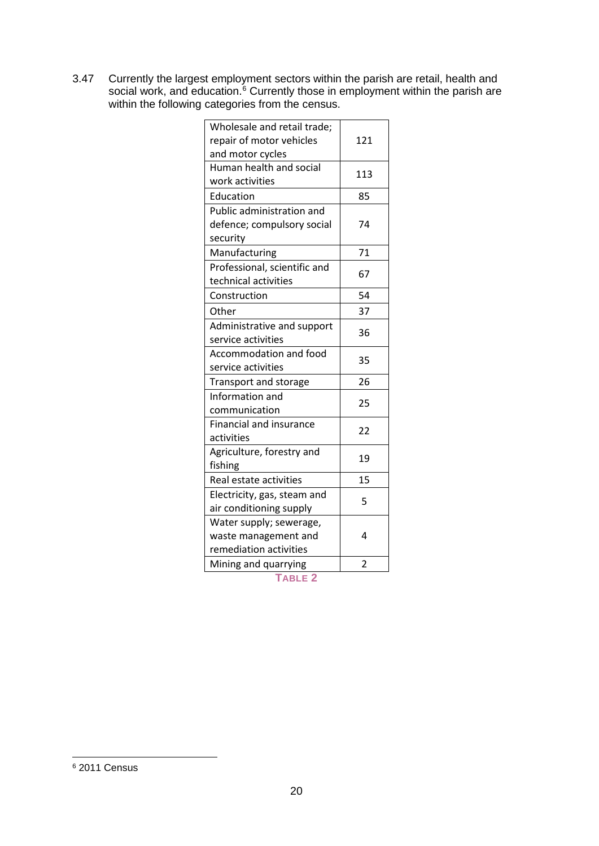3.47 Currently the largest employment sectors within the parish are retail, health and social work, and education.<sup>[6](#page-19-0)</sup> Currently those in employment within the parish are within the following categories from the census.

| Wholesale and retail trade;      |                |
|----------------------------------|----------------|
| repair of motor vehicles         | 121            |
| and motor cycles                 |                |
| Human health and social          | 113            |
| work activities                  |                |
| Education                        | 85             |
| <b>Public administration and</b> |                |
| defence; compulsory social       | 74             |
| security                         |                |
| Manufacturing                    | 71             |
| Professional, scientific and     | 67             |
| technical activities             |                |
| Construction                     | 54             |
| Other                            | 37             |
| Administrative and support       | 36             |
| service activities               |                |
| Accommodation and food           | 35             |
| service activities               |                |
| Transport and storage            | 26             |
| Information and                  | 25             |
| communication                    |                |
| <b>Financial and insurance</b>   | 22             |
| activities                       |                |
| Agriculture, forestry and        | 19             |
| fishing                          |                |
| Real estate activities           | 15             |
| Electricity, gas, steam and      | 5              |
| air conditioning supply          |                |
| Water supply; sewerage,          |                |
| waste management and             | 4              |
| remediation activities           |                |
| Mining and quarrying             | $\overline{2}$ |
|                                  |                |

**TABLE 2**

<span id="page-19-0"></span><sup>6</sup> 2011 Census -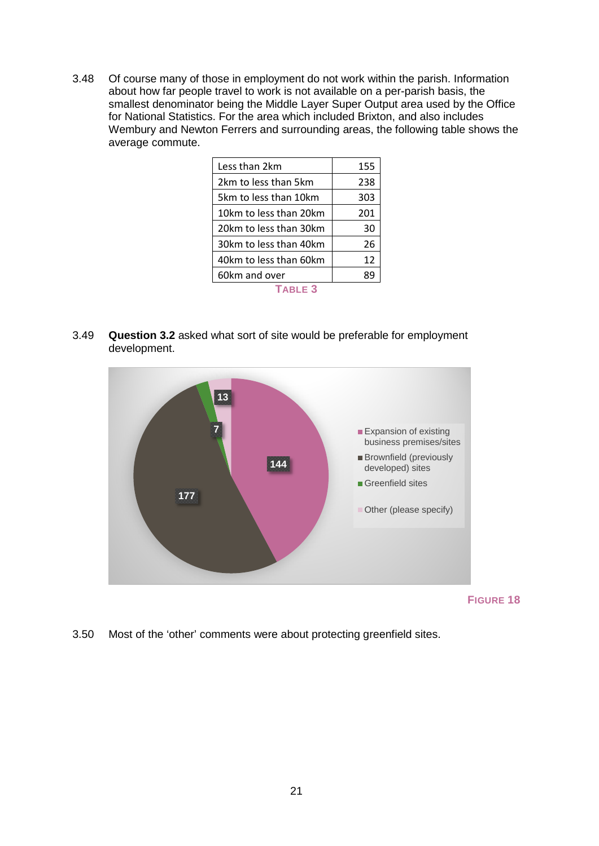3.48 Of course many of those in employment do not work within the parish. Information about how far people travel to work is not available on a per-parish basis, the smallest denominator being the Middle Layer Super Output area used by the Office for National Statistics. For the area which included Brixton, and also includes Wembury and Newton Ferrers and surrounding areas, the following table shows the average commute.

| Less than 2km          | 155 |
|------------------------|-----|
| 2km to less than 5km   | 238 |
| 5km to less than 10km  | 303 |
| 10km to less than 20km | 201 |
| 20km to less than 30km | 30  |
| 30km to less than 40km | 26  |
| 40km to less than 60km | 12  |
| 60km and over          | 89  |
| TARI F 3               |     |

3.49 **Question 3.2** asked what sort of site would be preferable for employment development.



**FIGURE 18**

3.50 Most of the 'other' comments were about protecting greenfield sites.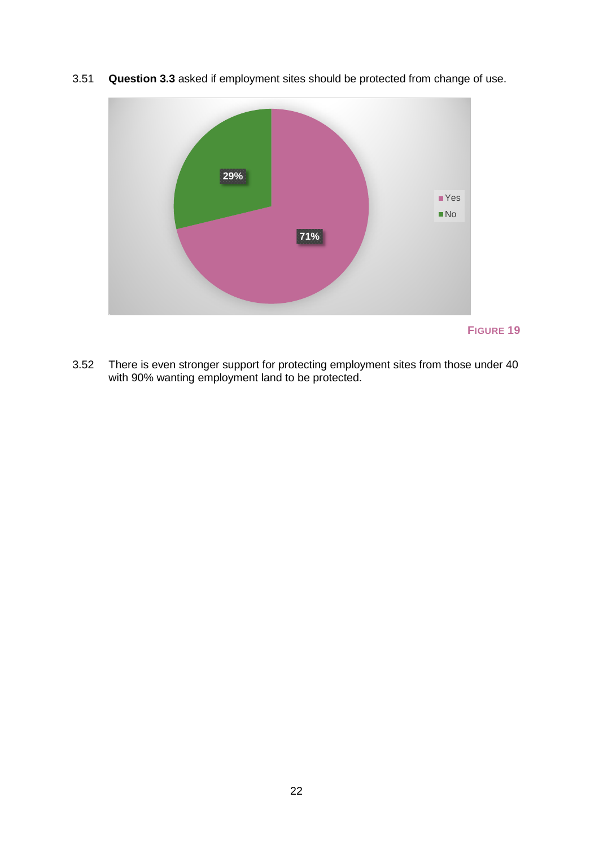

3.51 **Question 3.3** asked if employment sites should be protected from change of use.

3.52 There is even stronger support for protecting employment sites from those under 40 with 90% wanting employment land to be protected.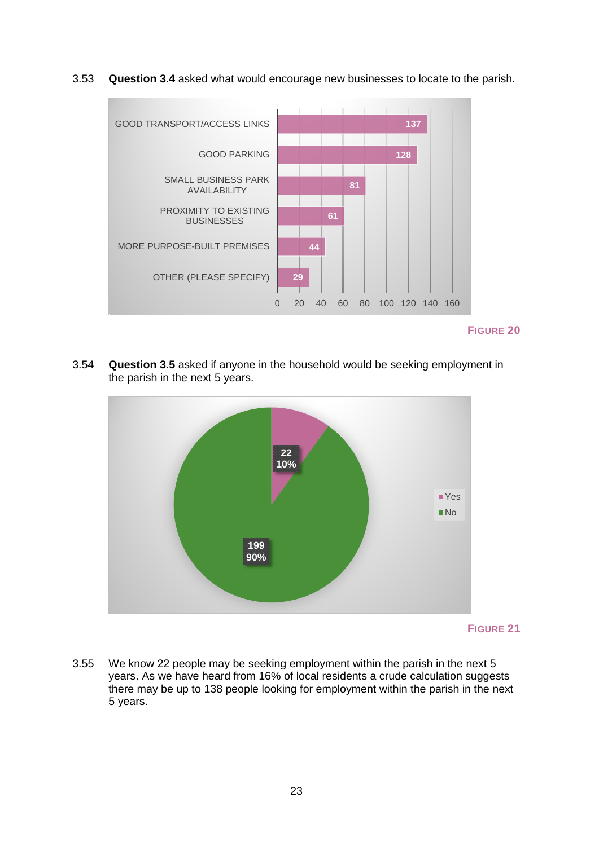3.53 **Question 3.4** asked what would encourage new businesses to locate to the parish.



**FIGURE 20**

3.54 **Question 3.5** asked if anyone in the household would be seeking employment in the parish in the next 5 years.



**FIGURE 21**

3.55 We know 22 people may be seeking employment within the parish in the next 5 years. As we have heard from 16% of local residents a crude calculation suggests there may be up to 138 people looking for employment within the parish in the next 5 years.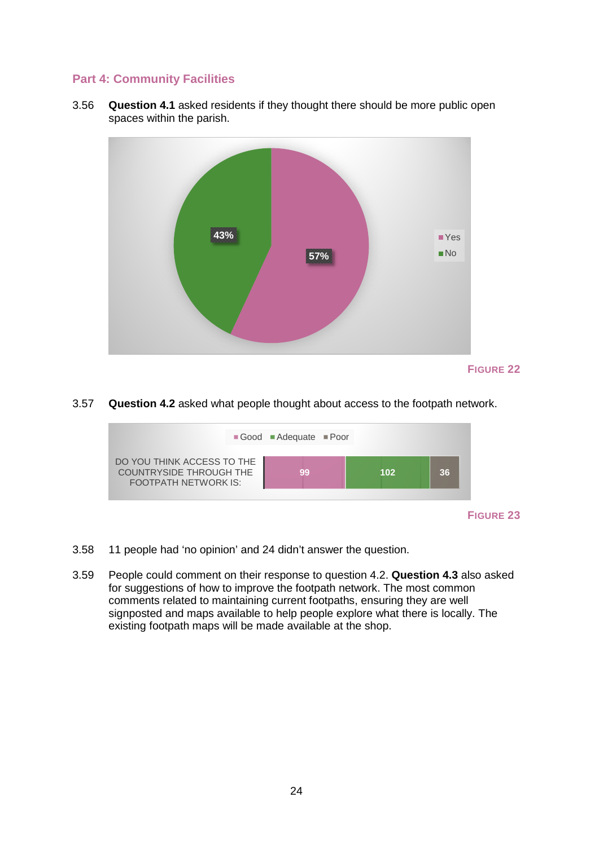#### <span id="page-23-0"></span>**Part 4: Community Facilities**

3.56 **Question 4.1** asked residents if they thought there should be more public open spaces within the parish.



#### 3.57 **Question 4.2** asked what people thought about access to the footpath network.



- 3.58 11 people had 'no opinion' and 24 didn't answer the question.
- 3.59 People could comment on their response to question 4.2. **Question 4.3** also asked for suggestions of how to improve the footpath network. The most common comments related to maintaining current footpaths, ensuring they are well signposted and maps available to help people explore what there is locally. The existing footpath maps will be made available at the shop.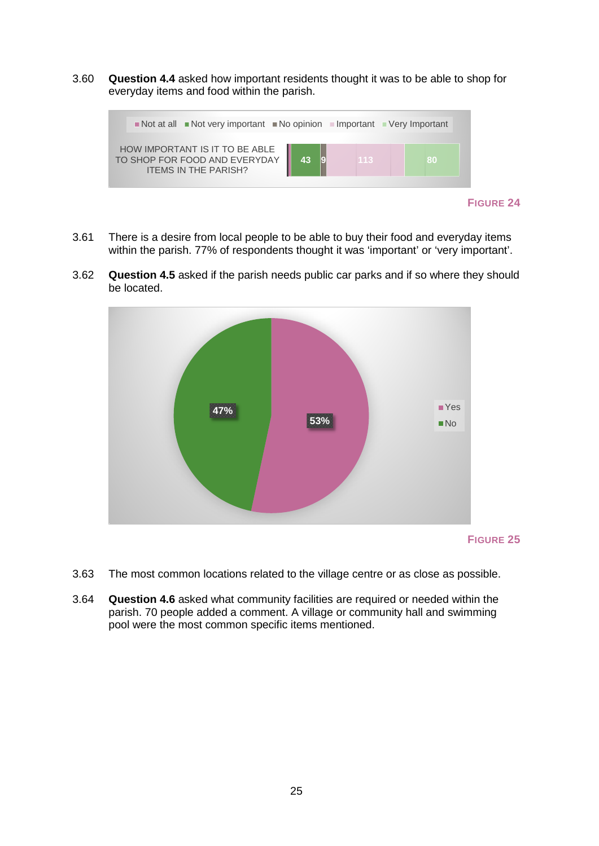3.60 **Question 4.4** asked how important residents thought it was to be able to shop for everyday items and food within the parish.



- **FIGURE 24**
- 3.61 There is a desire from local people to be able to buy their food and everyday items within the parish. 77% of respondents thought it was 'important' or 'very important'.
- 3.62 **Question 4.5** asked if the parish needs public car parks and if so where they should be located.



- 3.63 The most common locations related to the village centre or as close as possible.
- 3.64 **Question 4.6** asked what community facilities are required or needed within the parish. 70 people added a comment. A village or community hall and swimming pool were the most common specific items mentioned.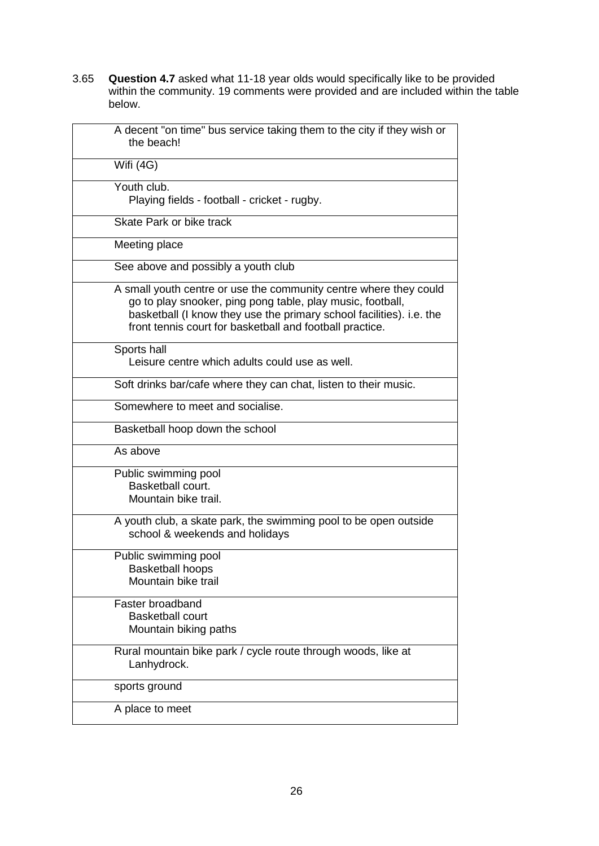3.65 **Question 4.7** asked what 11-18 year olds would specifically like to be provided within the community. 19 comments were provided and are included within the table below.

<span id="page-25-0"></span>

| A decent "on time" bus service taking them to the city if they wish or<br>the beach!                                                                                                                                                                                |
|---------------------------------------------------------------------------------------------------------------------------------------------------------------------------------------------------------------------------------------------------------------------|
| Wifi (4G)                                                                                                                                                                                                                                                           |
| Youth club.<br>Playing fields - football - cricket - rugby.                                                                                                                                                                                                         |
| Skate Park or bike track                                                                                                                                                                                                                                            |
| Meeting place                                                                                                                                                                                                                                                       |
| See above and possibly a youth club                                                                                                                                                                                                                                 |
| A small youth centre or use the community centre where they could<br>go to play snooker, ping pong table, play music, football,<br>basketball (I know they use the primary school facilities). i.e. the<br>front tennis court for basketball and football practice. |
| Sports hall<br>Leisure centre which adults could use as well.                                                                                                                                                                                                       |
| Soft drinks bar/cafe where they can chat, listen to their music.                                                                                                                                                                                                    |
| Somewhere to meet and socialise.                                                                                                                                                                                                                                    |
| Basketball hoop down the school                                                                                                                                                                                                                                     |
| As above                                                                                                                                                                                                                                                            |
| Public swimming pool<br>Basketball court.<br>Mountain bike trail.                                                                                                                                                                                                   |
| A youth club, a skate park, the swimming pool to be open outside<br>school & weekends and holidays                                                                                                                                                                  |
| Public swimming pool<br>Basketball hoops<br>Mountain bike trail                                                                                                                                                                                                     |
| Faster broadband<br><b>Basketball court</b><br>Mountain biking paths                                                                                                                                                                                                |
| Rural mountain bike park / cycle route through woods, like at<br>Lanhydrock.                                                                                                                                                                                        |
| sports ground                                                                                                                                                                                                                                                       |
| A place to meet                                                                                                                                                                                                                                                     |
|                                                                                                                                                                                                                                                                     |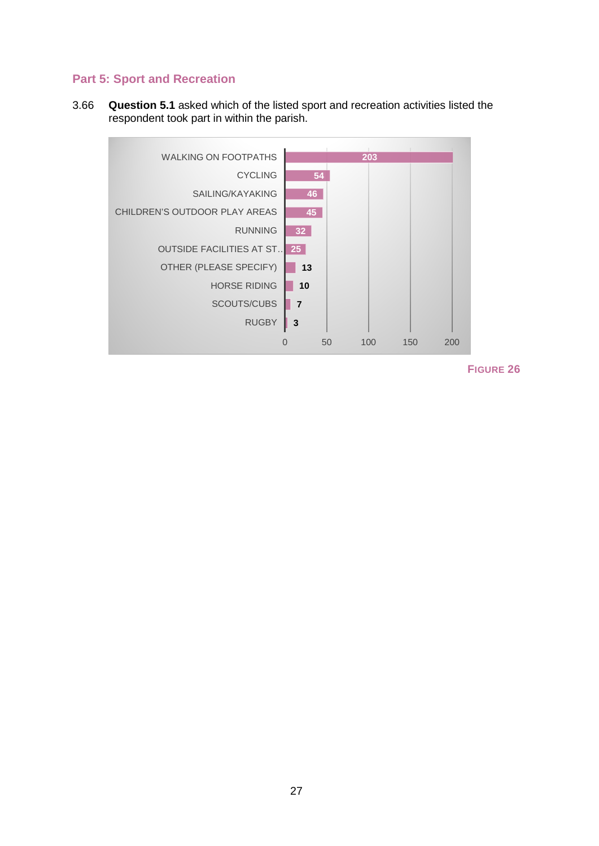#### **Part 5: Sport and Recreation**

3.66 **Question 5.1** asked which of the listed sport and recreation activities listed the respondent took part in within the parish.

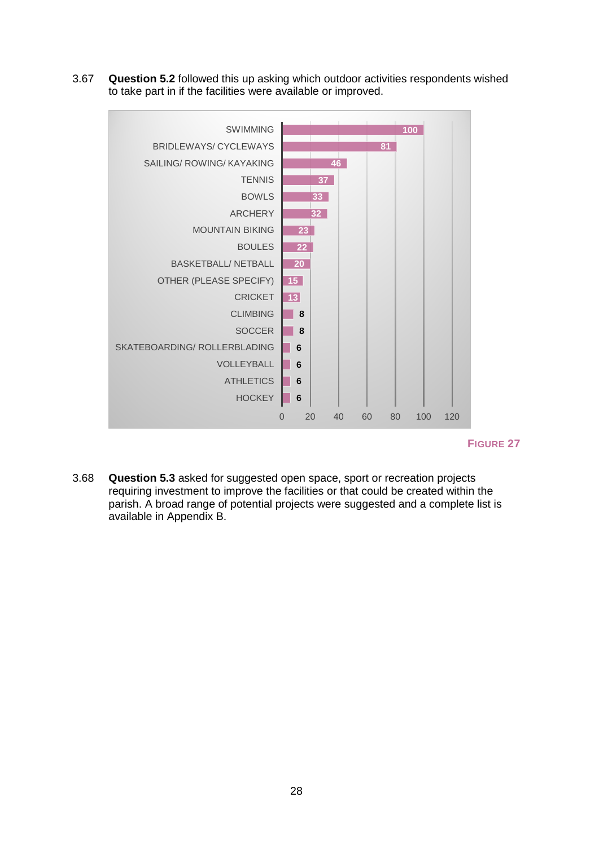3.67 **Question 5.2** followed this up asking which outdoor activities respondents wished to take part in if the facilities were available or improved.



**FIGURE 27**

<span id="page-27-0"></span>3.68 **Question 5.3** asked for suggested open space, sport or recreation projects requiring investment to improve the facilities or that could be created within the parish. A broad range of potential projects were suggested and a complete list is available in Appendix B.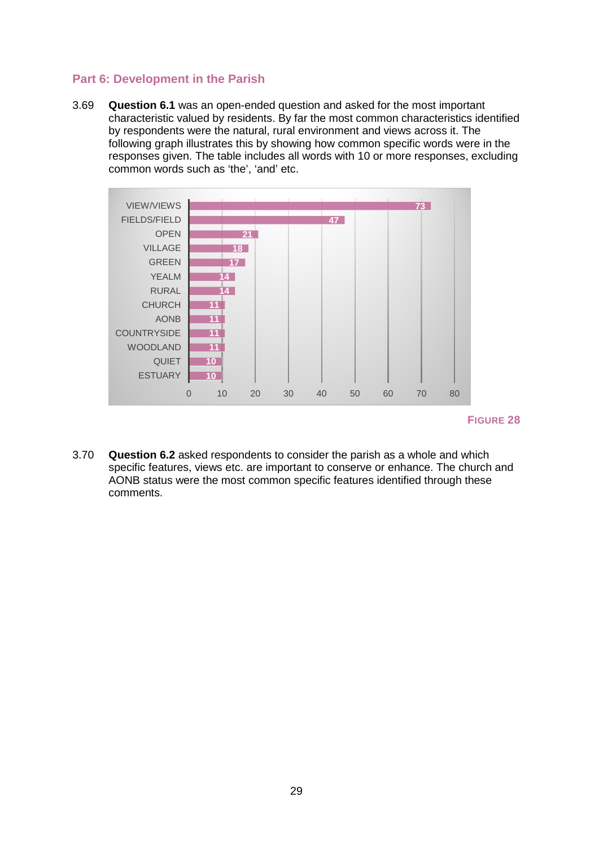#### **Part 6: Development in the Parish**

3.69 **Question 6.1** was an open-ended question and asked for the most important characteristic valued by residents. By far the most common characteristics identified by respondents were the natural, rural environment and views across it. The following graph illustrates this by showing how common specific words were in the responses given. The table includes all words with 10 or more responses, excluding common words such as 'the', 'and' etc.



#### **FIGURE 28**

3.70 **Question 6.2** asked respondents to consider the parish as a whole and which specific features, views etc. are important to conserve or enhance. The church and AONB status were the most common specific features identified through these comments.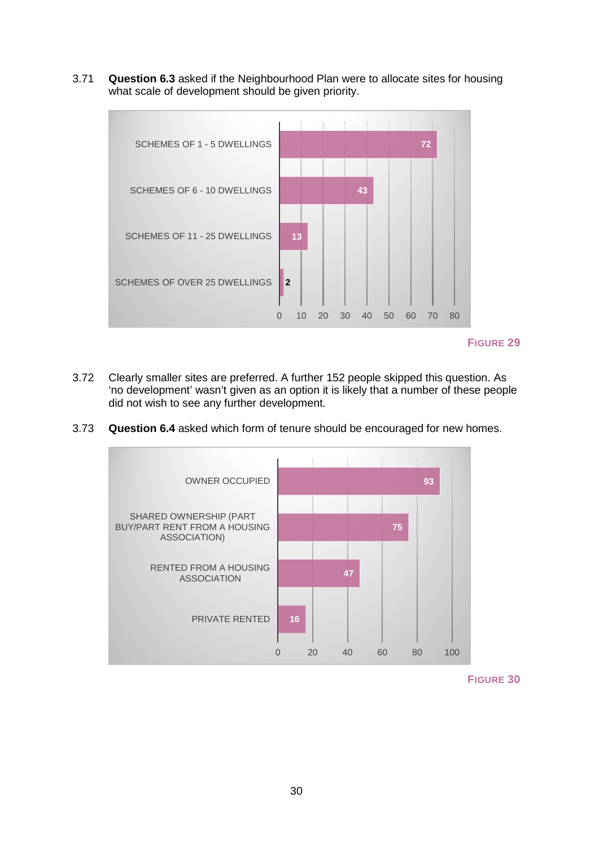3.71 **Question 6.3** asked if the Neighbourhood Plan were to allocate sites for housing what scale of development should be given priority.



**FIGURE 29**

- 3.72 Clearly smaller sites are preferred. A further 152 people skipped this question. As 'no development' wasn't given as an option it is likely that a number of these people did not wish to see any further development.
- 3.73 **Question 6.4** asked which form of tenure should be encouraged for new homes.



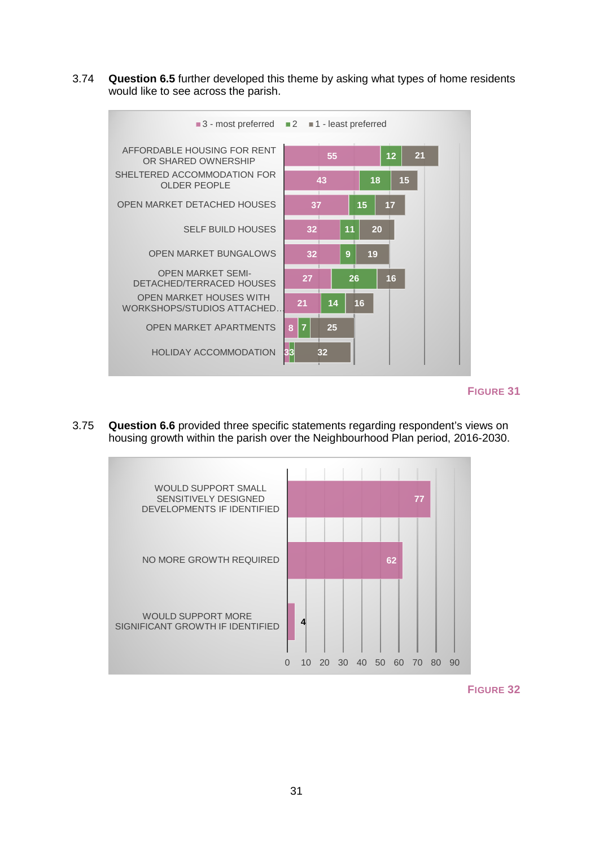3.74 **Question 6.5** further developed this theme by asking what types of home residents would like to see across the parish.



**FIGURE 31**

3.75 **Question 6.6** provided three specific statements regarding respondent's views on housing growth within the parish over the Neighbourhood Plan period, 2016-2030.